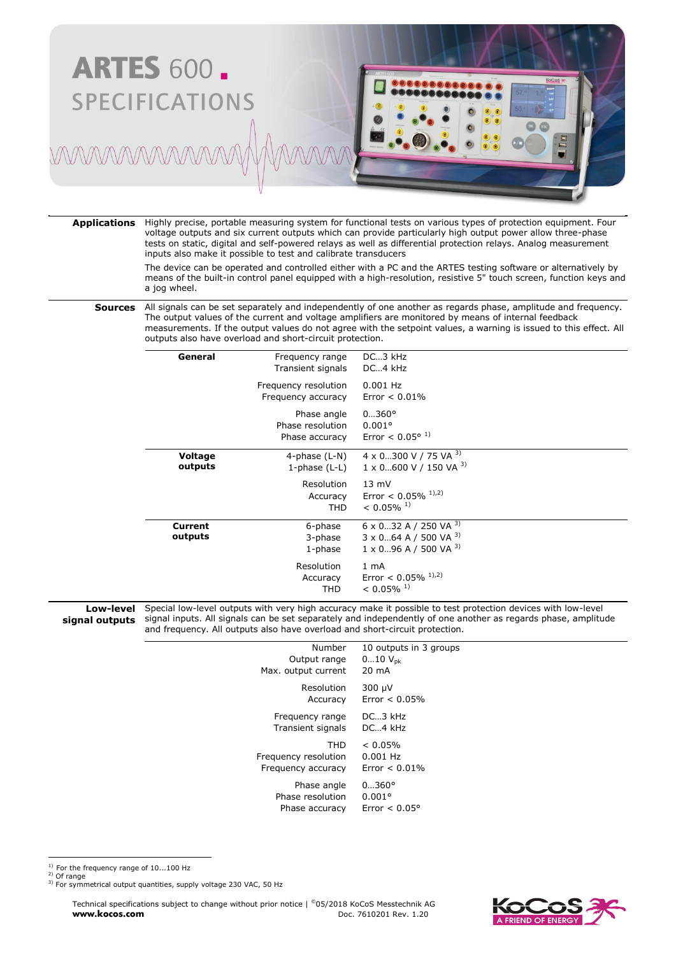

**Applications** Highly precise, portable measuring system for functional tests on various types of protection equipment. Four voltage outputs and six current outputs which can provide particularly high output power allow three-phase tests on static, digital and self-powered relays as well as differential protection relays. Analog measurement inputs also make it possible to test and calibrate transducers

> The device can be operated and controlled either with a PC and the ARTES testing software or alternatively by means of the built-in control panel equipped with a high-resolution, resistive 5" touch screen, function keys and a jog wheel.

**Sources** All signals can be set separately and independently of one another as regards phase, amplitude and frequency. The output values of the current and voltage amplifiers are monitored by means of internal feedback measurements. If the output values do not agree with the setpoint values, a warning is issued to this effect. All outputs also have overload and short-circuit protection.

| General                   | Frequency range<br>Transient signals              | DC3 kHz<br>DC4 kHz                                                                                                  |
|---------------------------|---------------------------------------------------|---------------------------------------------------------------------------------------------------------------------|
|                           | Frequency resolution<br>Frequency accuracy        | $0.001$ Hz<br>Error $< 0.01\%$                                                                                      |
|                           | Phase angle<br>Phase resolution<br>Phase accuracy | $0360^{\circ}$<br>$0.001^{\circ}$<br>Error < $0.05^{\circ}$ <sup>1)</sup>                                           |
| Voltage<br>outputs        | 4-phase $(L-N)$<br>1-phase $(L-L)$                | 4 x 0300 V / 75 VA 3)<br>$1 \times 0$ 600 V / 150 VA 3)                                                             |
|                           | Resolution<br>Accuracy<br><b>THD</b>              | $13 \text{ mV}$<br>Error < $0.05\%$ <sup>1),2)</sup><br>$< 0.05\%$ <sup>1)</sup>                                    |
| <b>Current</b><br>outputs | 6-phase<br>3-phase<br>1-phase                     | $6 \times 0$ 32 A / 250 VA $^{3}$ )<br>$3 \times 0$ 64 A / 500 VA $3$ )<br>$1 \times 0$ 96 A / 500 VA <sup>3)</sup> |
|                           | Resolution<br>Accuracy<br><b>THD</b>              | 1 <sub>mA</sub><br>Error < $0.05\%$ <sup>1),2)</sup><br>$< 0.05\%$ <sup>1)</sup>                                    |

**Low-level signal outputs** Special low-level outputs with very high accuracy make it possible to test protection devices with low-level signal inputs. All signals can be set separately and independently of one another as regards phase, amplitude and frequency. All outputs also have overload and short-circuit protection.

| Number               | 10 outputs in 3 groups |
|----------------------|------------------------|
| Output range         | $010 V_{\rm pk}$       |
| Max. output current  | 20 mA                  |
| Resolution           | 300 µV                 |
| Accuracy             | $Error < 0.05\%$       |
| Frequency range      | $DC3$ kHz              |
| Transient signals    | $DC4$ kHz              |
| THD                  | $< 0.05\%$             |
| Frequency resolution | $0.001$ Hz             |
| Frequency accuracy   | $Error < 0.01\%$       |
| Phase angle          | $0360^{\circ}$         |
| Phase resolution     | $0.001$ °              |
| Phase accuracy       | Error $< 0.05^{\circ}$ |

 $^{1)}$  For the frequency range of 10...100 Hz

2) Of range

 $\overline{a}$ 

<sup>3)</sup> For symmetrical output quantities, supply voltage 230 VAC, 50 Hz

Technical specifications subject to change without prior notice | ©05/2018 KoCoS Messtechnik AG **www.kocos.com** Doc. 7610201 Rev. 1.20